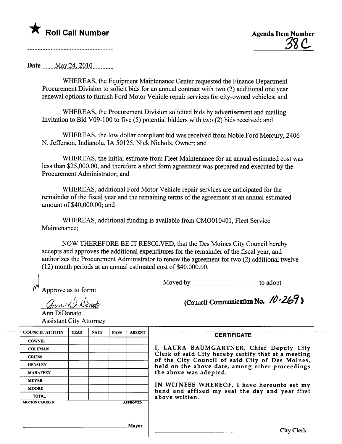

## Date \_\_\_\_\_May 24, 2010

WHEREAS, the Equipment Maintenance Center requested the Finance Deparment Procurement Division to solicit bids for an anual contract with two (2) additional one year renewal options to furnish Ford Motor Vehicle repair services for city-owned vehicles; and

WHEREAS, the Procurement Division solicited bids by advertisement and mailing Invitation to Bid V09-100 to five (5) potential bidders with two (2) bids received; and

WHEREAS, the low dollar compliant bid was received from Noble Ford Mercury, 2406 N. Jefferson, Indianola, IA 50125, Nick Nichols, Owner; and

WHEREAS, the initial estimate from Fleet Maintenance for an anual estimated cost was less than \$25,000.00, and therefore a short form agreement was prepared and executed by the Procurement Administrator; and

WHEREAS, additional Ford Motor Vehicle repair services are anticipated for the remainder of the fiscal year and the remaining terms of the agreement at an anual estimated amount of \$40,000.00; and

WHEREAS, additional fuding is available from CMOOI0401, Fleet Service Maintenance;

NOW THEREFORE BE IT RESOLVED, that the Des Moines City Council hereby accepts and approves the additional expenditures for the remainder of the fiscal year, and authorizes the Procurement Administrator to renew the agreement for two (2) additional twelve (12) month periods at an annual estimated cost of  $$40,000.00$ .<br>Moved by to adopt to adopt

Approve as to form:

ann Di Devato

(Council Communication No.  $/0.269$ )

City Clerk

Ann DiDonato Assistant City Attorney

| <b>COWNIE</b><br><b>COLEMAN</b><br>Clerk of said City hereby certify that at a meeting<br><b>GRIESS</b><br>of the City Council of said City of Des Moines,<br><b>HENSLEY</b><br>held on the above date, among other proceedings<br>the above was adopted.<br><b>MAHAFFEY</b><br><b>MEYER</b><br>IN WITNESS WHEREOF, I have hereunto set my<br><b>MOORE</b><br>hand and affixed my seal the day and year first<br><b>TOTAL</b><br>above written. | <b>COUNCIL ACTION</b> | <b>YEAS</b> | <b>NAYS</b> | <b>PASS</b> | <b>ABSENT</b>   | <b>CERTIFICATE</b>                      |
|-------------------------------------------------------------------------------------------------------------------------------------------------------------------------------------------------------------------------------------------------------------------------------------------------------------------------------------------------------------------------------------------------------------------------------------------------|-----------------------|-------------|-------------|-------------|-----------------|-----------------------------------------|
|                                                                                                                                                                                                                                                                                                                                                                                                                                                 |                       |             |             |             |                 |                                         |
|                                                                                                                                                                                                                                                                                                                                                                                                                                                 |                       |             |             |             |                 | I, LAURA BAUMGARTNER, Chief Deputy City |
|                                                                                                                                                                                                                                                                                                                                                                                                                                                 |                       |             |             |             |                 |                                         |
|                                                                                                                                                                                                                                                                                                                                                                                                                                                 |                       |             |             |             |                 |                                         |
|                                                                                                                                                                                                                                                                                                                                                                                                                                                 |                       |             |             |             |                 |                                         |
|                                                                                                                                                                                                                                                                                                                                                                                                                                                 |                       |             |             |             |                 |                                         |
|                                                                                                                                                                                                                                                                                                                                                                                                                                                 |                       |             |             |             |                 |                                         |
|                                                                                                                                                                                                                                                                                                                                                                                                                                                 |                       |             |             |             |                 |                                         |
|                                                                                                                                                                                                                                                                                                                                                                                                                                                 | <b>MOTION CARRIED</b> |             |             |             | <b>APPROVED</b> |                                         |
|                                                                                                                                                                                                                                                                                                                                                                                                                                                 |                       |             |             |             |                 |                                         |
|                                                                                                                                                                                                                                                                                                                                                                                                                                                 |                       |             |             |             | Mayor           |                                         |